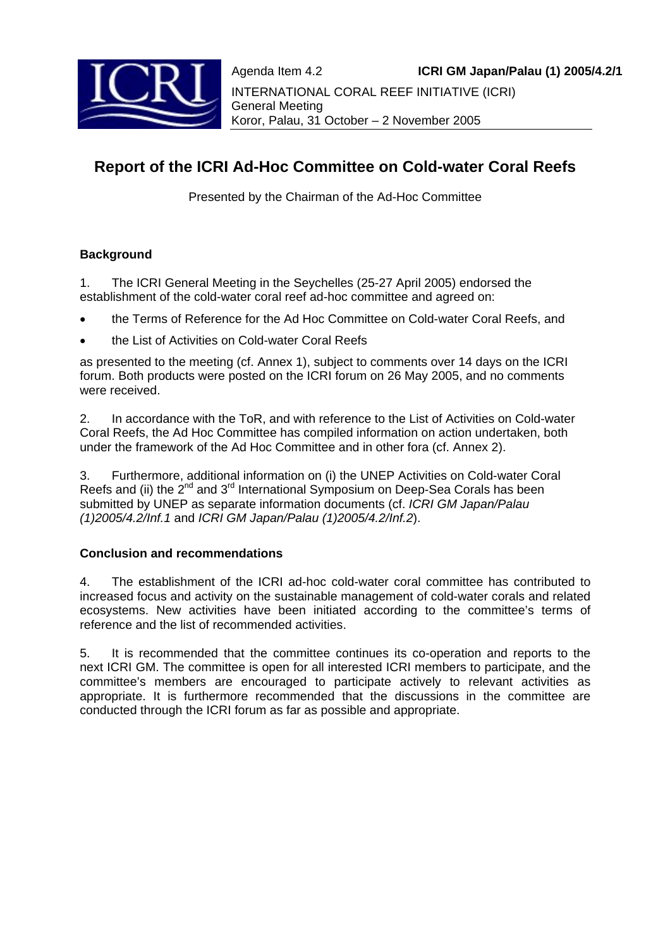

# **Report of the ICRI Ad-Hoc Committee on Cold-water Coral Reefs**

Presented by the Chairman of the Ad-Hoc Committee

# **Background**

1. The ICRI General Meeting in the Seychelles (25-27 April 2005) endorsed the establishment of the cold-water coral reef ad-hoc committee and agreed on:

- the Terms of Reference for the Ad Hoc Committee on Cold-water Coral Reefs, and
- the List of Activities on Cold-water Coral Reefs

as presented to the meeting (cf. Annex 1), subject to comments over 14 days on the ICRI forum. Both products were posted on the ICRI forum on 26 May 2005, and no comments were received.

2. In accordance with the ToR, and with reference to the List of Activities on Cold-water Coral Reefs, the Ad Hoc Committee has compiled information on action undertaken, both under the framework of the Ad Hoc Committee and in other fora (cf. Annex 2).

3. Furthermore, additional information on (i) the UNEP Activities on Cold-water Coral Reefs and (ii) the  $2^{nd}$  and  $3^{rd}$  International Symposium on Deep-Sea Corals has been submitted by UNEP as separate information documents (cf. *ICRI GM Japan/Palau (1)2005/4.2/Inf.1* and *ICRI GM Japan/Palau (1)2005/4.2/Inf.2*).

# **Conclusion and recommendations**

4. The establishment of the ICRI ad-hoc cold-water coral committee has contributed to increased focus and activity on the sustainable management of cold-water corals and related ecosystems. New activities have been initiated according to the committee's terms of reference and the list of recommended activities.

5. It is recommended that the committee continues its co-operation and reports to the next ICRI GM. The committee is open for all interested ICRI members to participate, and the committee's members are encouraged to participate actively to relevant activities as appropriate. It is furthermore recommended that the discussions in the committee are conducted through the ICRI forum as far as possible and appropriate.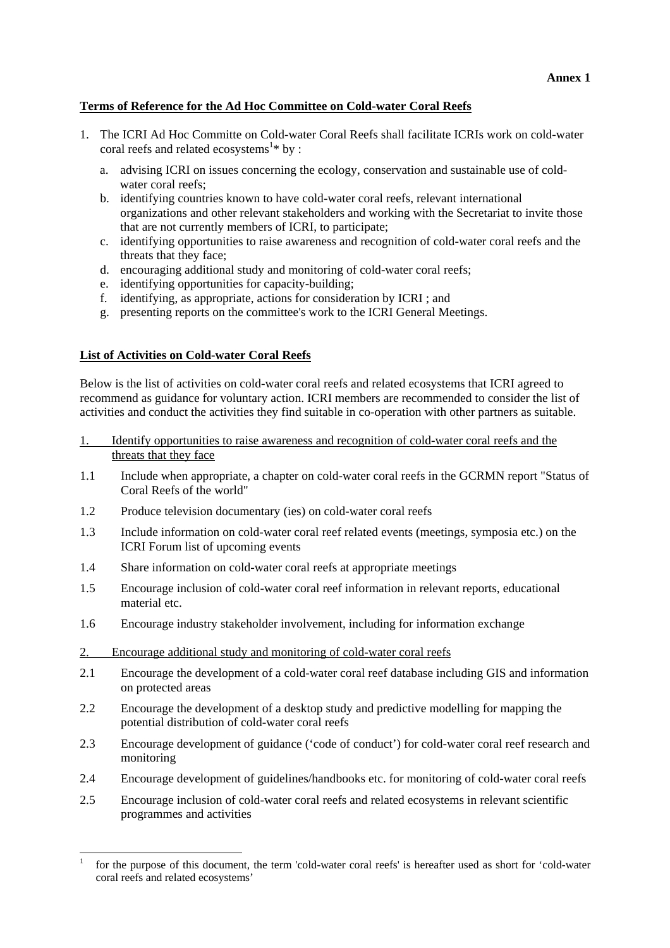# **Terms of Reference for the Ad Hoc Committee on Cold-water Coral Reefs**

- 1. The ICRI Ad Hoc Committe on Cold-water Coral Reefs shall facilitate ICRIs work on cold-water coral reefs and related ecosystems<sup>1\*</sup> by :
	- a. advising ICRI on issues concerning the ecology, conservation and sustainable use of coldwater coral reefs:
	- b. identifying countries known to have cold-water coral reefs, relevant international organizations and other relevant stakeholders and working with the Secretariat to invite those that are not currently members of ICRI, to participate;
	- c. identifying opportunities to raise awareness and recognition of cold-water coral reefs and the threats that they face;
	- d. encouraging additional study and monitoring of cold-water coral reefs;
	- e. identifying opportunities for capacity-building;
	- f. identifying, as appropriate, actions for consideration by ICRI ; and
	- g. presenting reports on the committee's work to the ICRI General Meetings.

### **List of Activities on Cold-water Coral Reefs**

l

Below is the list of activities on cold-water coral reefs and related ecosystems that ICRI agreed to recommend as guidance for voluntary action. ICRI members are recommended to consider the list of activities and conduct the activities they find suitable in co-operation with other partners as suitable.

- 1. Identify opportunities to raise awareness and recognition of cold-water coral reefs and the threats that they face
- 1.1 Include when appropriate, a chapter on cold-water coral reefs in the GCRMN report "Status of Coral Reefs of the world"
- 1.2 Produce television documentary (ies) on cold-water coral reefs
- 1.3 Include information on cold-water coral reef related events (meetings, symposia etc.) on the ICRI Forum list of upcoming events
- 1.4 Share information on cold-water coral reefs at appropriate meetings
- 1.5 Encourage inclusion of cold-water coral reef information in relevant reports, educational material etc.
- 1.6 Encourage industry stakeholder involvement, including for information exchange
- 2. Encourage additional study and monitoring of cold-water coral reefs
- 2.1 Encourage the development of a cold-water coral reef database including GIS and information on protected areas
- 2.2 Encourage the development of a desktop study and predictive modelling for mapping the potential distribution of cold-water coral reefs
- 2.3 Encourage development of guidance ('code of conduct') for cold-water coral reef research and monitoring
- 2.4 Encourage development of guidelines/handbooks etc. for monitoring of cold-water coral reefs
- 2.5 Encourage inclusion of cold-water coral reefs and related ecosystems in relevant scientific programmes and activities

<sup>1</sup> for the purpose of this document, the term 'cold-water coral reefs' is hereafter used as short for 'cold-water coral reefs and related ecosystems'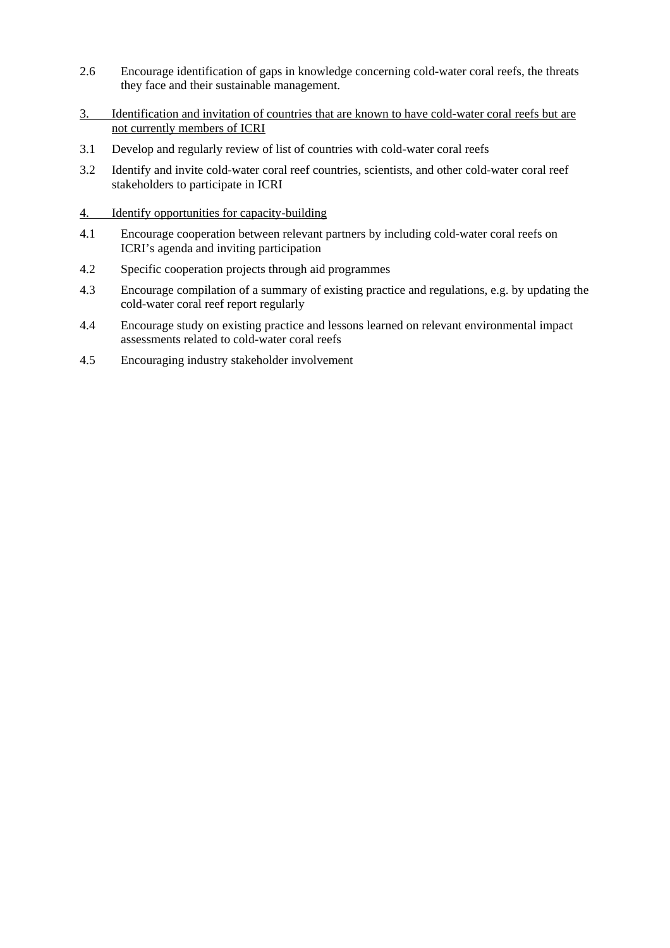- 2.6 Encourage identification of gaps in knowledge concerning cold-water coral reefs, the threats they face and their sustainable management.
- 3. Identification and invitation of countries that are known to have cold-water coral reefs but are not currently members of ICRI
- 3.1 Develop and regularly review of list of countries with cold-water coral reefs
- 3.2 Identify and invite cold-water coral reef countries, scientists, and other cold-water coral reef stakeholders to participate in ICRI
- 4. Identify opportunities for capacity-building
- 4.1 Encourage cooperation between relevant partners by including cold-water coral reefs on ICRI's agenda and inviting participation
- 4.2 Specific cooperation projects through aid programmes
- 4.3 Encourage compilation of a summary of existing practice and regulations, e.g. by updating the cold-water coral reef report regularly
- 4.4 Encourage study on existing practice and lessons learned on relevant environmental impact assessments related to cold-water coral reefs
- 4.5 Encouraging industry stakeholder involvement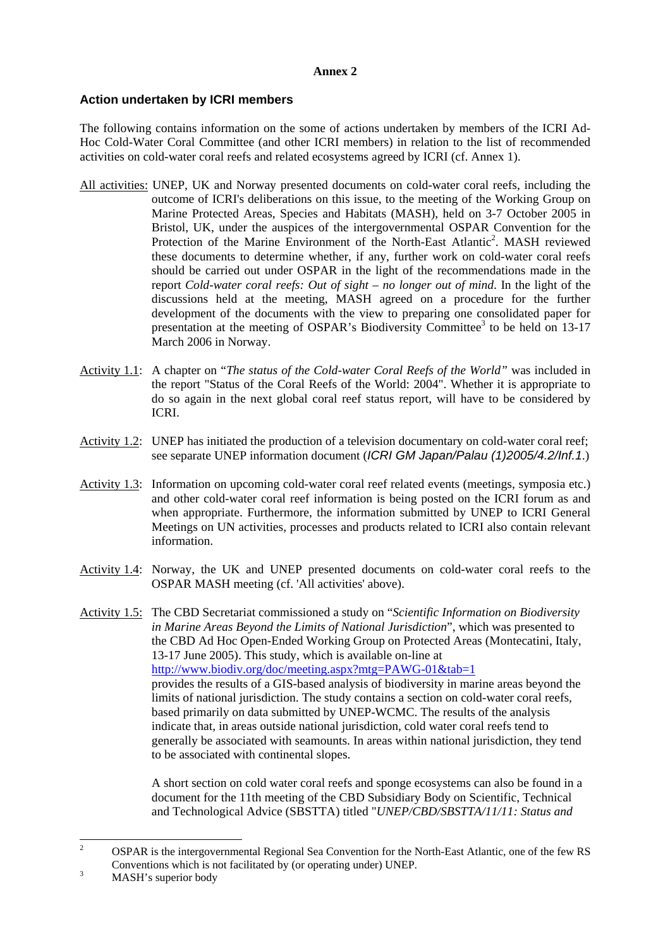#### **Annex 2**

### **Action undertaken by ICRI members**

The following contains information on the some of actions undertaken by members of the ICRI Ad-Hoc Cold-Water Coral Committee (and other ICRI members) in relation to the list of recommended activities on cold-water coral reefs and related ecosystems agreed by ICRI (cf. Annex 1).

- All activities: UNEP, UK and Norway presented documents on cold-water coral reefs, including the outcome of ICRI's deliberations on this issue, to the meeting of the Working Group on Marine Protected Areas, Species and Habitats (MASH), held on 3-7 October 2005 in Bristol, UK, under the auspices of the intergovernmental OSPAR Convention for the Protection of the Marine Environment of the North-East Atlantic<sup>2</sup>. MASH reviewed these documents to determine whether, if any, further work on cold-water coral reefs should be carried out under OSPAR in the light of the recommendations made in the report *Cold-water coral reefs: Out of sight – no longer out of mind*. In the light of the discussions held at the meeting, MASH agreed on a procedure for the further development of the documents with the view to preparing one consolidated paper for presentation at the meeting of OSPAR's Biodiversity Committee<sup>3</sup> to be held on 13-17 March 2006 in Norway.
- Activity 1.1: A chapter on "*The status of the Cold-water Coral Reefs of the World"* was included in the report "Status of the Coral Reefs of the World: 2004". Whether it is appropriate to do so again in the next global coral reef status report, will have to be considered by ICRI.
- Activity 1.2: UNEP has initiated the production of a television documentary on cold-water coral reef; see separate UNEP information document (*ICRI GM Japan/Palau (1)2005/4.2/Inf.1*.)
- Activity 1.3: Information on upcoming cold-water coral reef related events (meetings, symposia etc.) and other cold-water coral reef information is being posted on the ICRI forum as and when appropriate. Furthermore, the information submitted by UNEP to ICRI General Meetings on UN activities, processes and products related to ICRI also contain relevant information.
- Activity 1.4: Norway, the UK and UNEP presented documents on cold-water coral reefs to the OSPAR MASH meeting (cf. 'All activities' above).
- Activity 1.5: The CBD Secretariat commissioned a study on "*Scientific Information on Biodiversity in Marine Areas Beyond the Limits of National Jurisdiction*", which was presented to the CBD Ad Hoc Open-Ended Working Group on Protected Areas (Montecatini, Italy, 13-17 June 2005). This study, which is available on-line at http://www.biodiv.org/doc/meeting.aspx?mtg=PAWG-01&tab=1 provides the results of a GIS-based analysis of biodiversity in marine areas beyond the limits of national jurisdiction. The study contains a section on cold-water coral reefs, based primarily on data submitted by UNEP-WCMC. The results of the analysis indicate that, in areas outside national jurisdiction, cold water coral reefs tend to generally be associated with seamounts. In areas within national jurisdiction, they tend to be associated with continental slopes.

 A short section on cold water coral reefs and sponge ecosystems can also be found in a document for the 11th meeting of the CBD Subsidiary Body on Scientific, Technical and Technological Advice (SBSTTA) titled "*UNEP/CBD/SBSTTA/11/11: Status and* 

 $\frac{1}{2}$  OSPAR is the intergovernmental Regional Sea Convention for the North-East Atlantic, one of the few RS Conventions which is not facilitated by (or operating under) UNEP.

MASH's superior body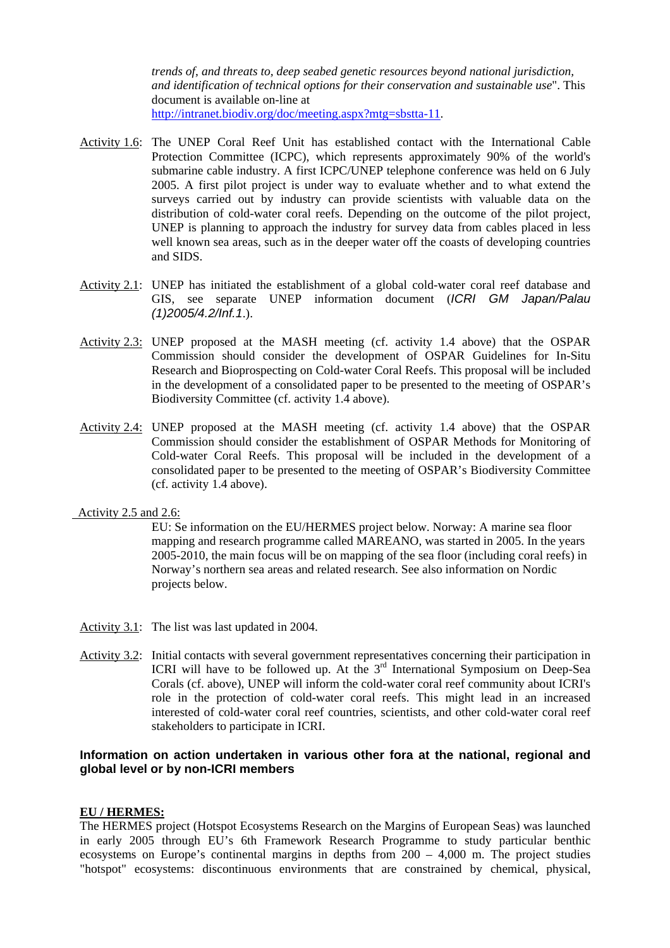*trends of, and threats to, deep seabed genetic resources beyond national jurisdiction, and identification of technical options for their conservation and sustainable use*". This document is available on-line at http://intranet.biodiv.org/doc/meeting.aspx?mtg=sbstta-11.

- Activity 1.6: The UNEP Coral Reef Unit has established contact with the International Cable Protection Committee (ICPC), which represents approximately 90% of the world's submarine cable industry. A first ICPC/UNEP telephone conference was held on 6 July 2005. A first pilot project is under way to evaluate whether and to what extend the surveys carried out by industry can provide scientists with valuable data on the distribution of cold-water coral reefs. Depending on the outcome of the pilot project, UNEP is planning to approach the industry for survey data from cables placed in less well known sea areas, such as in the deeper water off the coasts of developing countries and SIDS.
- Activity 2.1: UNEP has initiated the establishment of a global cold-water coral reef database and GIS, see separate UNEP information document (*ICRI GM Japan/Palau (1)2005/4.2/Inf.1*.).
- Activity 2.3: UNEP proposed at the MASH meeting (cf. activity 1.4 above) that the OSPAR Commission should consider the development of OSPAR Guidelines for In-Situ Research and Bioprospecting on Cold-water Coral Reefs. This proposal will be included in the development of a consolidated paper to be presented to the meeting of OSPAR's Biodiversity Committee (cf. activity 1.4 above).
- Activity 2.4: UNEP proposed at the MASH meeting (cf. activity 1.4 above) that the OSPAR Commission should consider the establishment of OSPAR Methods for Monitoring of Cold-water Coral Reefs. This proposal will be included in the development of a consolidated paper to be presented to the meeting of OSPAR's Biodiversity Committee (cf. activity 1.4 above).

## Activity 2.5 and 2.6:

 EU: Se information on the EU/HERMES project below. Norway: A marine sea floor mapping and research programme called MAREANO, was started in 2005. In the years 2005-2010, the main focus will be on mapping of the sea floor (including coral reefs) in Norway's northern sea areas and related research. See also information on Nordic projects below.

- Activity 3.1: The list was last updated in 2004.
- Activity 3.2: Initial contacts with several government representatives concerning their participation in ICRI will have to be followed up. At the  $3<sup>rd</sup>$  International Symposium on Deep-Sea Corals (cf. above), UNEP will inform the cold-water coral reef community about ICRI's role in the protection of cold-water coral reefs. This might lead in an increased interested of cold-water coral reef countries, scientists, and other cold-water coral reef stakeholders to participate in ICRI.

### **Information on action undertaken in various other fora at the national, regional and global level or by non-ICRI members**

#### **EU / HERMES:**

The HERMES project (Hotspot Ecosystems Research on the Margins of European Seas) was launched in early 2005 through EU's 6th Framework Research Programme to study particular benthic ecosystems on Europe's continental margins in depths from 200 – 4,000 m. The project studies "hotspot" ecosystems: discontinuous environments that are constrained by chemical, physical,